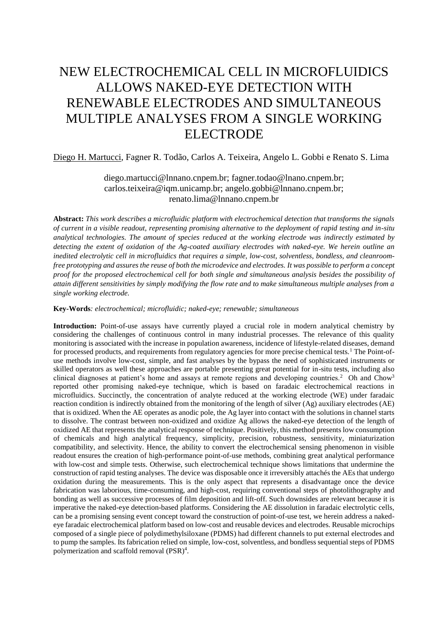## NEW ELECTROCHEMICAL CELL IN MICROFLUIDICS ALLOWS NAKED-EYE DETECTION WITH RENEWABLE ELECTRODES AND SIMULTANEOUS MULTIPLE ANALYSES FROM A SINGLE WORKING ELECTRODE

Diego H. Martucci, Fagner R. Todão, Carlos A. Teixeira, Angelo L. Gobbi e Renato S. Lima

diego.martucci@lnnano.cnpem.br; fagner.todao@lnano.cnpem.br; carlos.teixeira@iqm.unicamp.br; angelo.gobbi@lnnano.cnpem.br; renato.lima@lnnano.cnpem.br

**Abstract:** *This work describes a microfluidic platform with electrochemical detection that transforms the signals of current in a visible readout, representing promising alternative to the deployment of rapid testing and in-situ analytical technologies. The amount of species reduced at the working electrode was indirectly estimated by detecting the extent of oxidation of the Ag-coated auxiliary electrodes with naked-eye. We herein outline an inedited electrolytic cell in microfluidics that requires a simple, low-cost, solventless, bondless, and cleanroomfree prototyping and assures the reuse of both the microdevice and electrodes. It was possible to perform a concept proof for the proposed electrochemical cell for both single and simultaneous analysis besides the possibility of attain different sensitivities by simply modifying the flow rate and to make simultaneous multiple analyses from a single working electrode.*

**Key-Words***: electrochemical; microfluidic; naked-eye; renewable; simultaneous*

**Introduction:** Point-of-use assays have currently played a crucial role in modern analytical chemistry by considering the challenges of continuous control in many industrial processes. The relevance of this quality monitoring is associated with the increase in population awareness, incidence of lifestyle-related diseases, demand for processed products, and requirements from regulatory agencies for more precise chemical tests.<sup>1</sup> The Point-ofuse methods involve low-cost, simple, and fast analyses by the bypass the need of sophisticated instruments or skilled operators as well these approaches are portable presenting great potential for in-situ tests, including also clinical diagnoses at patient's home and assays at remote regions and developing countries.<sup>2</sup> Oh and Chow<sup>3</sup> reported other promising naked-eye technique, which is based on faradaic electrochemical reactions in microfluidics. Succinctly, the concentration of analyte reduced at the working electrode (WE) under faradaic reaction condition is indirectly obtained from the monitoring of the length of silver (Ag) auxiliary electrodes (AE) that is oxidized. When the AE operates as anodic pole, the Ag layer into contact with the solutions in channel starts to dissolve. The contrast between non-oxidized and oxidize Ag allows the naked-eye detection of the length of oxidized AE that represents the analytical response of technique. Positively, this method presents low consumption of chemicals and high analytical frequency, simplicity, precision, robustness, sensitivity, miniaturization compatibility, and selectivity. Hence, the ability to convert the electrochemical sensing phenomenon in visible readout ensures the creation of high-performance point-of-use methods, combining great analytical performance with low-cost and simple tests. Otherwise, such electrochemical technique shows limitations that undermine the construction of rapid testing analyses. The device was disposable once it irreversibly attachés the AEs that undergo oxidation during the measurements. This is the only aspect that represents a disadvantage once the device fabrication was laborious, time-consuming, and high-cost, requiring conventional steps of photolithography and bonding as well as successive processes of film deposition and lift-off. Such downsides are relevant because it is imperative the naked-eye detection-based platforms. Considering the AE dissolution in faradaic electrolytic cells, can be a promising sensing event concept toward the construction of point-of-use test, we herein address a nakedeye faradaic electrochemical platform based on low-cost and reusable devices and electrodes. Reusable microchips composed of a single piece of polydimethylsiloxane (PDMS) had different channels to put external electrodes and to pump the samples. Its fabrication relied on simple, low-cost, solventless, and bondless sequential steps of PDMS polymerization and scaffold removal (PSR)<sup>4</sup>.